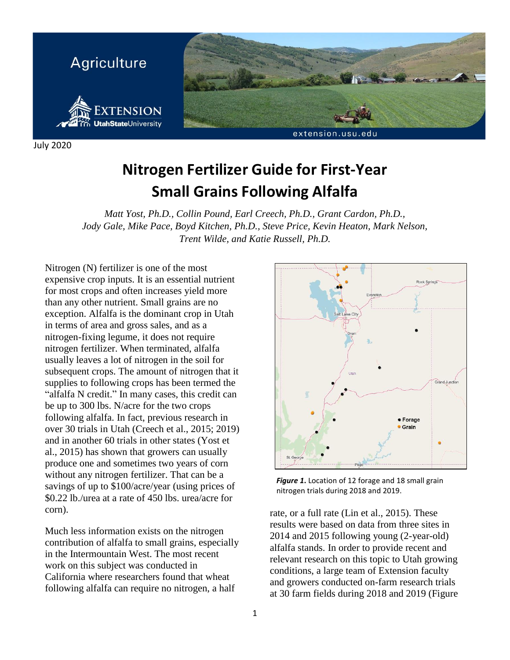

July 2020

# **Nitrogen Fertilizer Guide for First-Year Small Grains Following Alfalfa**

*Matt Yost, Ph.D., Collin Pound, Earl Creech, Ph.D., Grant Cardon, Ph.D., Jody Gale, Mike Pace, Boyd Kitchen, Ph.D., Steve Price, Kevin Heaton, Mark Nelson, Trent Wilde, and Katie Russell, Ph.D.*

Nitrogen (N) fertilizer is one of the most expensive crop inputs. It is an essential nutrient for most crops and often increases yield more than any other nutrient. Small grains are no exception. Alfalfa is the dominant crop in Utah in terms of area and gross sales, and as a nitrogen-fixing legume, it does not require nitrogen fertilizer. When terminated, alfalfa usually leaves a lot of nitrogen in the soil for subsequent crops. The amount of nitrogen that it supplies to following crops has been termed the "alfalfa N credit." In many cases, this credit can be up to 300 lbs. N/acre for the two crops following alfalfa. In fact, previous research in over 30 trials in Utah (Creech et al., 2015; 2019) and in another 60 trials in other states (Yost et al., 2015) has shown that growers can usually produce one and sometimes two years of corn without any nitrogen fertilizer. That can be a savings of up to \$100/acre/year (using prices of \$0.22 lb./urea at a rate of 450 lbs. urea/acre for corn).

Much less information exists on the nitrogen contribution of alfalfa to small grains, especially in the Intermountain West. The most recent work on this subject was conducted in California where researchers found that wheat following alfalfa can require no nitrogen, a half



*Figure 1***.** Location of 12 forage and 18 small grain nitrogen trials during 2018 and 2019.

rate, or a full rate (Lin et al., 2015). These results were based on data from three sites in 2014 and 2015 following young (2-year-old) alfalfa stands. In order to provide recent and relevant research on this topic to Utah growing conditions, a large team of Extension faculty and growers conducted on-farm research trials at 30 farm fields during 2018 and 2019 (Figure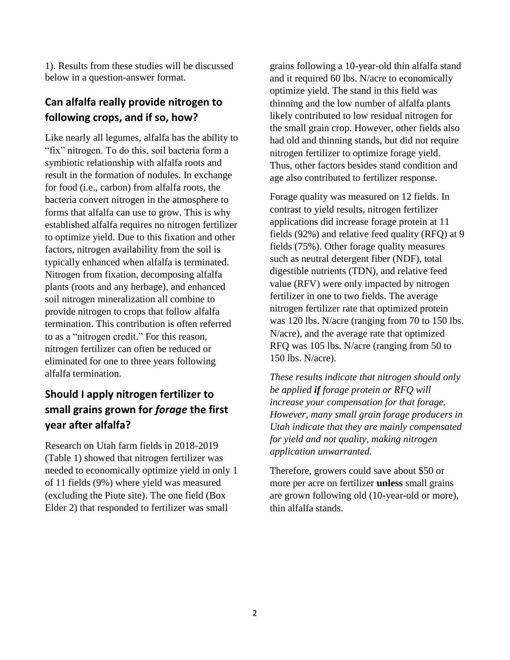1). Results from these studies will be discussed below in a question-answer format.

## **Can alfalfa really provide nitrogen to following crops, and if so, how?**

Like nearly all legumes, alfalfa has the ability to "fix" nitrogen. To do this, soil bacteria form a symbiotic relationship with alfalfa roots and result in the formation of nodules. In exchange for food (i.e., carbon) from alfalfa roots, the bacteria convert nitrogen in the atmosphere to forms that alfalfa can use to grow. This is why established alfalfa requires no nitrogen fertilizer to optimize yield. Due to this fixation and other factors, nitrogen availability from the soil is typically enhanced when alfalfa is terminated. Nitrogen from fixation, decomposing alfalfa plants (roots and any herbage), and enhanced soil nitrogen mineralization all combine to provide nitrogen to crops that follow alfalfa termination. This contribution is often referred to as a "nitrogen credit." For this reason, nitrogen fertilizer can often be reduced or eliminated for one to three years following alfalfa termination.

## **Should I apply nitrogen fertilizer to small grains grown for** *forage* **the first year after alfalfa?**

Research on Utah farm fields in 2018-2019 (Table 1) showed that nitrogen fertilizer was needed to economically optimize yield in only 1 of 11 fields (9%) where yield was measured (excluding the Piute site). The one field (Box Elder 2) that responded to fertilizer was small

grains following a 10-year-old thin alfalfa stand and it required 60 lbs. N/acre to economically optimize yield. The stand in this field was thinning and the low number of alfalfa plants likely contributed to low residual nitrogen for the small grain crop. However, other fields also had old and thinning stands, but did not require nitrogen fertilizer to optimize forage yield. Thus, other factors besides stand condition and age also contributed to fertilizer response.

Forage quality was measured on 12 fields. In contrast to yield results, nitrogen fertilizer applications did increase forage protein at 11 fields (92%) and relative feed quality (RFQ) at 9 fields (75%). Other forage quality measures such as neutral detergent fiber (NDF), total digestible nutrients (TDN), and relative feed value (RFV) were only impacted by nitrogen fertilizer in one to two fields. The average nitrogen fertilizer rate that optimized protein was 120 lbs. N/acre (ranging from 70 to 150 lbs. N/acre), and the average rate that optimized RFQ was 105 lbs. N/acre (ranging from 50 to 150 lbs. N/acre).

*These results indicate that nitrogen should only be applied if forage protein or RFQ will increase your compensation for that forage. However, many small grain forage producers in Utah indicate that they are mainly compensated for yield and not quality, making nitrogen application unwarranted.* 

Therefore, growers could save about \$50 or more per acre on fertilizer **unless** small grains are grown following old (10-year-old or more), thin alfalfa stands.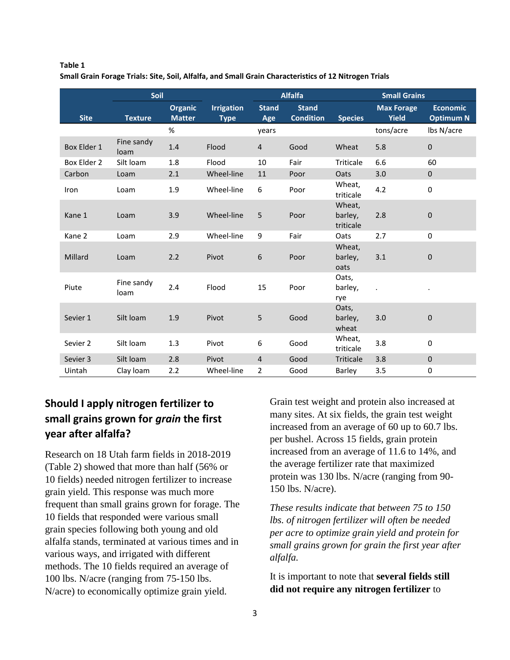#### **Table 1 Small Grain Forage Trials: Site, Soil, Alfalfa, and Small Grain Characteristics of 12 Nitrogen Trials**

|             | Soil               |                                 |                                  | <b>Alfalfa</b>      |                                  | <b>Small Grains</b>            |                                   |                                     |
|-------------|--------------------|---------------------------------|----------------------------------|---------------------|----------------------------------|--------------------------------|-----------------------------------|-------------------------------------|
| <b>Site</b> | <b>Texture</b>     | <b>Organic</b><br><b>Matter</b> | <b>Irrigation</b><br><b>Type</b> | <b>Stand</b><br>Age | <b>Stand</b><br><b>Condition</b> | <b>Species</b>                 | <b>Max Forage</b><br><b>Yield</b> | <b>Economic</b><br><b>Optimum N</b> |
|             |                    | %                               |                                  | years               |                                  |                                | tons/acre                         | lbs N/acre                          |
| Box Elder 1 | Fine sandy<br>loam | 1.4                             | Flood                            | $\overline{4}$      | Good                             | Wheat                          | 5.8                               | $\pmb{0}$                           |
| Box Elder 2 | Silt loam          | 1.8                             | Flood                            | 10                  | Fair                             | Triticale                      | 6.6                               | 60                                  |
| Carbon      | Loam               | 2.1                             | Wheel-line                       | 11                  | Poor                             | Oats                           | 3.0                               | $\mathbf 0$                         |
| Iron        | Loam               | 1.9                             | Wheel-line                       | 6                   | Poor                             | Wheat,<br>triticale            | 4.2                               | $\mathbf 0$                         |
| Kane 1      | Loam               | 3.9                             | Wheel-line                       | 5                   | Poor                             | Wheat,<br>barley,<br>triticale | 2.8                               | $\mathbf 0$                         |
| Kane 2      | Loam               | 2.9                             | Wheel-line                       | 9                   | Fair                             | Oats                           | 2.7                               | $\mathbf 0$                         |
| Millard     | Loam               | 2.2                             | Pivot                            | 6                   | Poor                             | Wheat,<br>barley,<br>oats      | 3.1                               | $\mathbf 0$                         |
| Piute       | Fine sandy<br>loam | 2.4                             | Flood                            | 15                  | Poor                             | Oats,<br>barley,<br>rye        | $\alpha$                          |                                     |
| Sevier 1    | Silt loam          | 1.9                             | Pivot                            | 5                   | Good                             | Oats,<br>barley,<br>wheat      | 3.0                               | 0                                   |
| Sevier 2    | Silt loam          | 1.3                             | Pivot                            | 6                   | Good                             | Wheat,<br>triticale            | 3.8                               | $\mathbf 0$                         |
| Sevier 3    | Silt loam          | 2.8                             | Pivot                            | 4                   | Good                             | Triticale                      | 3.8                               | $\mathbf 0$                         |
| Uintah      | Clay Ioam          | 2.2                             | Wheel-line                       | $\overline{2}$      | Good                             | Barley                         | 3.5                               | $\mathbf 0$                         |

# **Should I apply nitrogen fertilizer to small grains grown for** *grain* **the first year after alfalfa?**

Research on 18 Utah farm fields in 2018-2019 (Table 2) showed that more than half (56% or 10 fields) needed nitrogen fertilizer to increase grain yield. This response was much more frequent than small grains grown for forage. The 10 fields that responded were various small grain species following both young and old alfalfa stands, terminated at various times and in various ways, and irrigated with different methods. The 10 fields required an average of 100 lbs. N/acre (ranging from 75-150 lbs. N/acre) to economically optimize grain yield.

Grain test weight and protein also increased at many sites. At six fields, the grain test weight increased from an average of 60 up to 60.7 lbs. per bushel. Across 15 fields, grain protein increased from an average of 11.6 to 14%, and the average fertilizer rate that maximized protein was 130 lbs. N/acre (ranging from 90- 150 lbs. N/acre).

*These results indicate that between 75 to 150 lbs. of nitrogen fertilizer will often be needed per acre to optimize grain yield and protein for small grains grown for grain the first year after alfalfa.*

It is important to note that **several fields still did not require any nitrogen fertilizer** to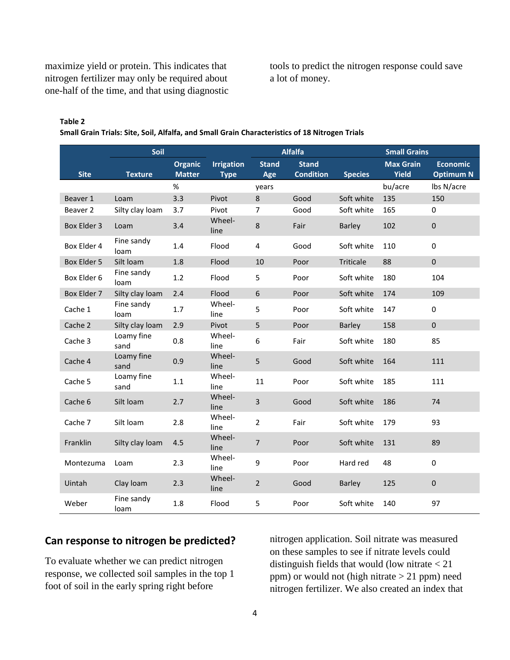maximize yield or protein. This indicates that nitrogen fertilizer may only be required about one-half of the time, and that using diagnostic tools to predict the nitrogen response could save a lot of money.

#### **Table 2**

**Small Grain Trials: Site, Soil, Alfalfa, and Small Grain Characteristics of 18 Nitrogen Trials**

| Soil        |                    |                                 |                                  | <b>Alfalfa</b>      | <b>Small Grains</b>              |                |                                  |                                     |
|-------------|--------------------|---------------------------------|----------------------------------|---------------------|----------------------------------|----------------|----------------------------------|-------------------------------------|
| <b>Site</b> | <b>Texture</b>     | <b>Organic</b><br><b>Matter</b> | <b>Irrigation</b><br><b>Type</b> | <b>Stand</b><br>Age | <b>Stand</b><br><b>Condition</b> | <b>Species</b> | <b>Max Grain</b><br><b>Yield</b> | <b>Economic</b><br><b>Optimum N</b> |
|             |                    | $\%$                            |                                  | years               |                                  |                | bu/acre                          | lbs N/acre                          |
| Beaver 1    | Loam               | 3.3                             | Pivot                            | 8                   | Good                             | Soft white     | 135                              | 150                                 |
| Beaver 2    | Silty clay loam    | 3.7                             | Pivot                            | 7                   | Good                             | Soft white     | 165                              | 0                                   |
| Box Elder 3 | Loam               | 3.4                             | Wheel-<br>line                   | $\,8\,$             | Fair                             | <b>Barley</b>  | 102                              | 0                                   |
| Box Elder 4 | Fine sandy<br>loam | 1.4                             | Flood                            | 4                   | Good                             | Soft white     | 110                              | $\mathbf 0$                         |
| Box Elder 5 | Silt loam          | 1.8                             | Flood                            | 10                  | Poor                             | Triticale      | 88                               | $\pmb{0}$                           |
| Box Elder 6 | Fine sandy<br>loam | 1.2                             | Flood                            | 5                   | Poor                             | Soft white     | 180                              | 104                                 |
| Box Elder 7 | Silty clay loam    | 2.4                             | Flood                            | 6                   | Poor                             | Soft white     | 174                              | 109                                 |
| Cache 1     | Fine sandy<br>loam | 1.7                             | Wheel-<br>line                   | 5                   | Poor                             | Soft white     | 147                              | 0                                   |
| Cache 2     | Silty clay loam    | 2.9                             | Pivot                            | 5                   | Poor                             | <b>Barley</b>  | 158                              | $\mathbf 0$                         |
| Cache 3     | Loamy fine<br>sand | 0.8                             | Wheel-<br>line                   | 6                   | Fair                             | Soft white     | 180                              | 85                                  |
| Cache 4     | Loamy fine<br>sand | 0.9                             | Wheel-<br>line                   | 5                   | Good                             | Soft white     | 164                              | 111                                 |
| Cache 5     | Loamy fine<br>sand | $1.1$                           | Wheel-<br>line                   | 11                  | Poor                             | Soft white     | 185                              | 111                                 |
| Cache 6     | Silt loam          | 2.7                             | Wheel-<br>line                   | 3                   | Good                             | Soft white     | 186                              | 74                                  |
| Cache 7     | Silt loam          | 2.8                             | Wheel-<br>line                   | $\overline{2}$      | Fair                             | Soft white     | 179                              | 93                                  |
| Franklin    | Silty clay loam    | 4.5                             | Wheel-<br>line                   | $\overline{7}$      | Poor                             | Soft white     | 131                              | 89                                  |
| Montezuma   | Loam               | 2.3                             | Wheel-<br>line                   | 9                   | Poor                             | Hard red       | 48                               | $\Omega$                            |
| Uintah      | Clay Ioam          | 2.3                             | Wheel-<br>line                   | $\overline{2}$      | Good                             | <b>Barley</b>  | 125                              | $\mathbf{0}$                        |
| Weber       | Fine sandy<br>loam | 1.8                             | Flood                            | 5                   | Poor                             | Soft white     | 140                              | 97                                  |

#### **Can response to nitrogen be predicted?**

To evaluate whether we can predict nitrogen response, we collected soil samples in the top 1 foot of soil in the early spring right before

nitrogen application. Soil nitrate was measured on these samples to see if nitrate levels could distinguish fields that would (low nitrate < 21 ppm) or would not (high nitrate > 21 ppm) need nitrogen fertilizer. We also created an index that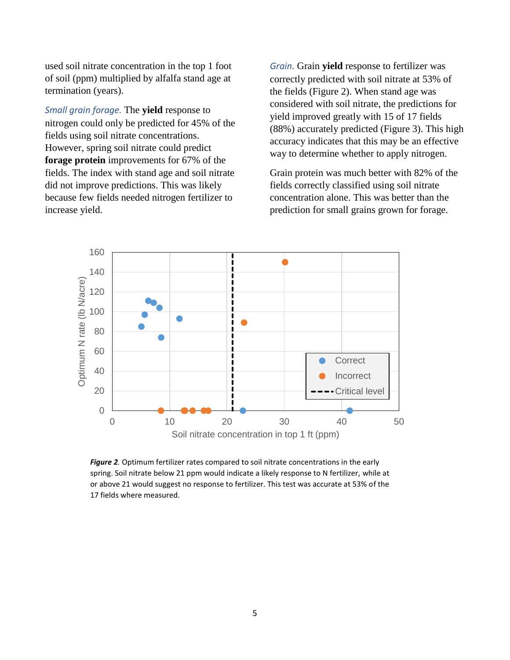used soil nitrate concentration in the top 1 foot of soil (ppm) multiplied by alfalfa stand age at termination (years).

*Small grain forage.* The **yield** response to nitrogen could only be predicted for 45% of the fields using soil nitrate concentrations. However, spring soil nitrate could predict **forage protein** improvements for 67% of the fields. The index with stand age and soil nitrate did not improve predictions. This was likely because few fields needed nitrogen fertilizer to increase yield.

*Grain*. Grain **yield** response to fertilizer was correctly predicted with soil nitrate at 53% of the fields (Figure 2). When stand age was considered with soil nitrate, the predictions for yield improved greatly with 15 of 17 fields (88%) accurately predicted (Figure 3). This high accuracy indicates that this may be an effective way to determine whether to apply nitrogen.

Grain protein was much better with 82% of the fields correctly classified using soil nitrate concentration alone. This was better than the prediction for small grains grown for forage.



*Figure 2.* Optimum fertilizer rates compared to soil nitrate concentrations in the early spring. Soil nitrate below 21 ppm would indicate a likely response to N fertilizer, while at or above 21 would suggest no response to fertilizer. This test was accurate at 53% of the 17 fields where measured.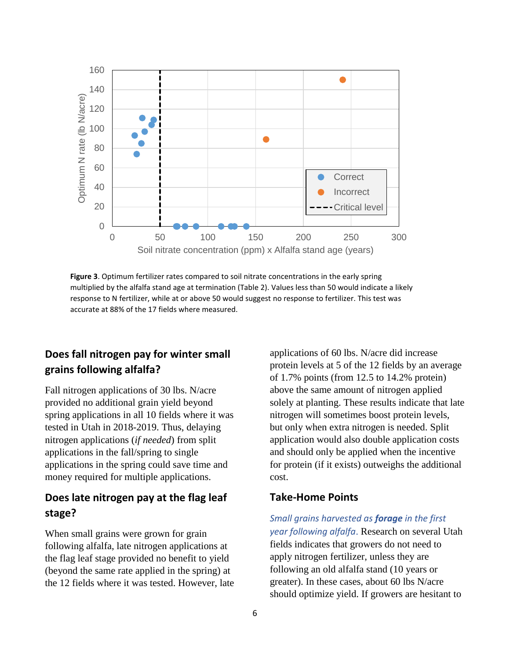

**Figure 3**. Optimum fertilizer rates compared to soil nitrate concentrations in the early spring multiplied by the alfalfa stand age at termination (Table 2). Values less than 50 would indicate a likely response to N fertilizer, while at or above 50 would suggest no response to fertilizer. This test was accurate at 88% of the 17 fields where measured.

## **Does fall nitrogen pay for winter small grains following alfalfa?**

Fall nitrogen applications of 30 lbs. N/acre provided no additional grain yield beyond spring applications in all 10 fields where it was tested in Utah in 2018-2019. Thus, delaying nitrogen applications (*if needed*) from split applications in the fall/spring to single applications in the spring could save time and money required for multiple applications.

## **Does late nitrogen pay at the flag leaf stage?**

When small grains were grown for grain following alfalfa, late nitrogen applications at the flag leaf stage provided no benefit to yield (beyond the same rate applied in the spring) at the 12 fields where it was tested. However, late applications of 60 lbs. N/acre did increase protein levels at 5 of the 12 fields by an average of 1.7% points (from 12.5 to 14.2% protein) above the same amount of nitrogen applied solely at planting. These results indicate that late nitrogen will sometimes boost protein levels, but only when extra nitrogen is needed. Split application would also double application costs and should only be applied when the incentive for protein (if it exists) outweighs the additional cost.

#### **Take-Home Points**

*Small grains harvested as forage in the first year following alfalfa*. Research on several Utah fields indicates that growers do not need to apply nitrogen fertilizer, unless they are following an old alfalfa stand (10 years or greater). In these cases, about 60 lbs N/acre should optimize yield. If growers are hesitant to